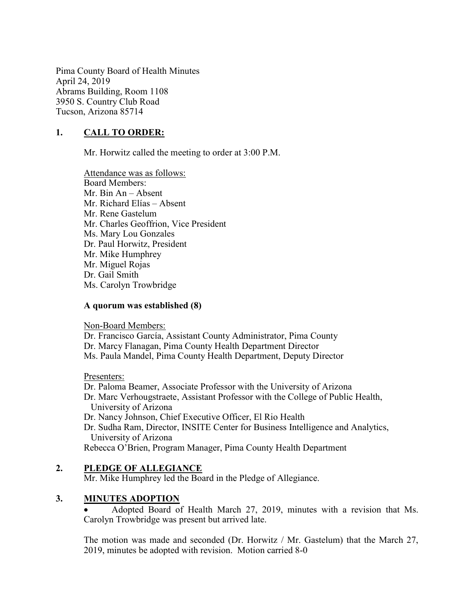Pima County Board of Health Minutes April 24, 2019 Abrams Building, Room 1108 3950 S. Country Club Road Tucson, Arizona 85714

## 1. CALL TO ORDER:

Mr. Horwitz called the meeting to order at 3:00 P.M.

Attendance was as follows: Board Members: Mr. Bin An – Absent Mr. Richard Elías – Absent Mr. Rene Gastelum Mr. Charles Geoffrion, Vice President Ms. Mary Lou Gonzales Dr. Paul Horwitz, President Mr. Mike Humphrey Mr. Miguel Rojas Dr. Gail Smith Ms. Carolyn Trowbridge

#### A quorum was established (8)

Non-Board Members:

Dr. Francisco García, Assistant County Administrator, Pima County Dr. Marcy Flanagan, Pima County Health Department Director Ms. Paula Mandel, Pima County Health Department, Deputy Director

Presenters:

Dr. Paloma Beamer, Associate Professor with the University of Arizona Dr. Marc Verhougstraete, Assistant Professor with the College of Public Health, University of Arizona Dr. Nancy Johnson, Chief Executive Officer, El Rio Health Dr. Sudha Ram, Director, INSITE Center for Business Intelligence and Analytics, University of Arizona Rebecca O'Brien, Program Manager, Pima County Health Department

## 2. PLEDGE OF ALLEGIANCE

Mr. Mike Humphrey led the Board in the Pledge of Allegiance.

## 3. MINUTES ADOPTION

 Adopted Board of Health March 27, 2019, minutes with a revision that Ms. Carolyn Trowbridge was present but arrived late.

The motion was made and seconded (Dr. Horwitz / Mr. Gastelum) that the March 27, 2019, minutes be adopted with revision. Motion carried 8-0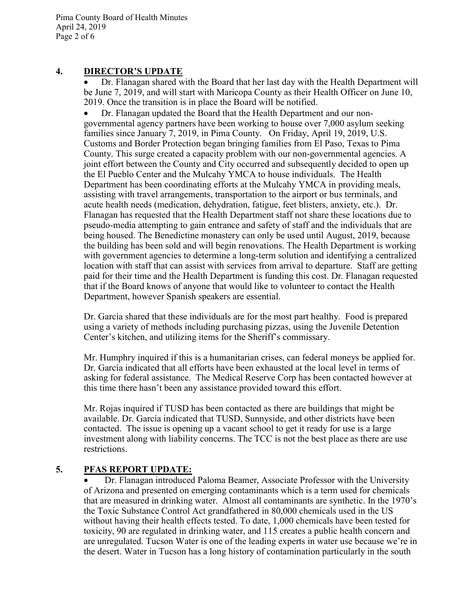Pima County Board of Health Minutes April 24, 2019 Page 2 of 6

## 4. DIRECTOR'S UPDATE

 Dr. Flanagan shared with the Board that her last day with the Health Department will be June 7, 2019, and will start with Maricopa County as their Health Officer on June 10, 2019. Once the transition is in place the Board will be notified.

 Dr. Flanagan updated the Board that the Health Department and our nongovernmental agency partners have been working to house over 7,000 asylum seeking families since January 7, 2019, in Pima County. On Friday, April 19, 2019, U.S. Customs and Border Protection began bringing families from El Paso, Texas to Pima County. This surge created a capacity problem with our non-governmental agencies. A joint effort between the County and City occurred and subsequently decided to open up the El Pueblo Center and the Mulcahy YMCA to house individuals. The Health Department has been coordinating efforts at the Mulcahy YMCA in providing meals, assisting with travel arrangements, transportation to the airport or bus terminals, and acute health needs (medication, dehydration, fatigue, feet blisters, anxiety, etc.). Dr. Flanagan has requested that the Health Department staff not share these locations due to pseudo-media attempting to gain entrance and safety of staff and the individuals that are being housed. The Benedictine monastery can only be used until August, 2019, because the building has been sold and will begin renovations. The Health Department is working with government agencies to determine a long-term solution and identifying a centralized location with staff that can assist with services from arrival to departure. Staff are getting paid for their time and the Health Department is funding this cost. Dr. Flanagan requested that if the Board knows of anyone that would like to volunteer to contact the Health Department, however Spanish speakers are essential.

 Dr. García shared that these individuals are for the most part healthy. Food is prepared using a variety of methods including purchasing pizzas, using the Juvenile Detention Center's kitchen, and utilizing items for the Sheriff's commissary.

 Mr. Humphry inquired if this is a humanitarian crises, can federal moneys be applied for. Dr. García indicated that all efforts have been exhausted at the local level in terms of asking for federal assistance. The Medical Reserve Corp has been contacted however at this time there hasn't been any assistance provided toward this effort.

 Mr. Rojas inquired if TUSD has been contacted as there are buildings that might be available. Dr. García indicated that TUSD, Sunnyside, and other districts have been contacted. The issue is opening up a vacant school to get it ready for use is a large investment along with liability concerns. The TCC is not the best place as there are use restrictions.

# 5. PFAS REPORT UPDATE:

 Dr. Flanagan introduced Paloma Beamer, Associate Professor with the University of Arizona and presented on emerging contaminants which is a term used for chemicals that are measured in drinking water. Almost all contaminants are synthetic. In the 1970's the Toxic Substance Control Act grandfathered in 80,000 chemicals used in the US without having their health effects tested. To date, 1,000 chemicals have been tested for toxicity, 90 are regulated in drinking water, and 115 creates a public health concern and are unregulated. Tucson Water is one of the leading experts in water use because we're in the desert. Water in Tucson has a long history of contamination particularly in the south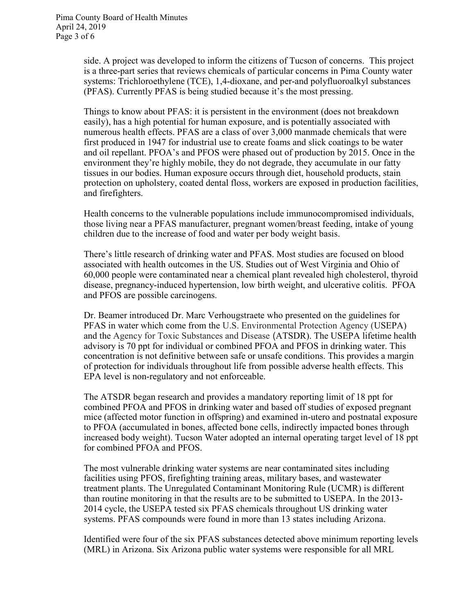side. A project was developed to inform the citizens of Tucson of concerns. This project is a three-part series that reviews chemicals of particular concerns in Pima County water systems: Trichloroethylene (TCE), 1,4-dioxane, and per-and polyfluoroalkyl substances (PFAS). Currently PFAS is being studied because it's the most pressing.

Things to know about PFAS: it is persistent in the environment (does not breakdown easily), has a high potential for human exposure, and is potentially associated with numerous health effects. PFAS are a class of over 3,000 manmade chemicals that were first produced in 1947 for industrial use to create foams and slick coatings to be water and oil repellant. PFOA's and PFOS were phased out of production by 2015. Once in the environment they're highly mobile, they do not degrade, they accumulate in our fatty tissues in our bodies. Human exposure occurs through diet, household products, stain protection on upholstery, coated dental floss, workers are exposed in production facilities, and firefighters.

Health concerns to the vulnerable populations include immunocompromised individuals, those living near a PFAS manufacturer, pregnant women/breast feeding, intake of young children due to the increase of food and water per body weight basis.

There's little research of drinking water and PFAS. Most studies are focused on blood associated with health outcomes in the US. Studies out of West Virginia and Ohio of 60,000 people were contaminated near a chemical plant revealed high cholesterol, thyroid disease, pregnancy-induced hypertension, low birth weight, and ulcerative colitis. PFOA and PFOS are possible carcinogens.

Dr. Beamer introduced Dr. Marc Verhougstraete who presented on the guidelines for PFAS in water which come from the U.S. Environmental Protection Agency (USEPA) and the Agency for Toxic Substances and Disease (ATSDR). The USEPA lifetime health advisory is 70 ppt for individual or combined PFOA and PFOS in drinking water. This concentration is not definitive between safe or unsafe conditions. This provides a margin of protection for individuals throughout life from possible adverse health effects. This EPA level is non-regulatory and not enforceable.

The ATSDR began research and provides a mandatory reporting limit of 18 ppt for combined PFOA and PFOS in drinking water and based off studies of exposed pregnant mice (affected motor function in offspring) and examined in-utero and postnatal exposure to PFOA (accumulated in bones, affected bone cells, indirectly impacted bones through increased body weight). Tucson Water adopted an internal operating target level of 18 ppt for combined PFOA and PFOS.

The most vulnerable drinking water systems are near contaminated sites including facilities using PFOS, firefighting training areas, military bases, and wastewater treatment plants. The Unregulated Contaminant Monitoring Rule (UCMR) is different than routine monitoring in that the results are to be submitted to USEPA. In the 2013- 2014 cycle, the USEPA tested six PFAS chemicals throughout US drinking water systems. PFAS compounds were found in more than 13 states including Arizona.

Identified were four of the six PFAS substances detected above minimum reporting levels (MRL) in Arizona. Six Arizona public water systems were responsible for all MRL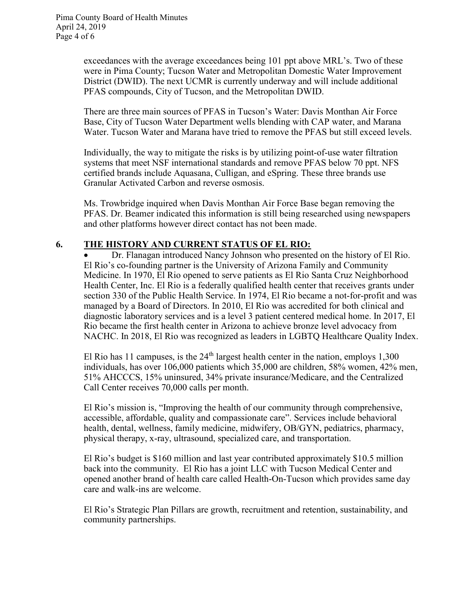exceedances with the average exceedances being 101 ppt above MRL's. Two of these were in Pima County; Tucson Water and Metropolitan Domestic Water Improvement District (DWID). The next UCMR is currently underway and will include additional PFAS compounds, City of Tucson, and the Metropolitan DWID.

There are three main sources of PFAS in Tucson's Water: Davis Monthan Air Force Base, City of Tucson Water Department wells blending with CAP water, and Marana Water. Tucson Water and Marana have tried to remove the PFAS but still exceed levels.

Individually, the way to mitigate the risks is by utilizing point-of-use water filtration systems that meet NSF international standards and remove PFAS below 70 ppt. NFS certified brands include Aquasana, Culligan, and eSpring. These three brands use Granular Activated Carbon and reverse osmosis.

Ms. Trowbridge inquired when Davis Monthan Air Force Base began removing the PFAS. Dr. Beamer indicated this information is still being researched using newspapers and other platforms however direct contact has not been made.

## 6. THE HISTORY AND CURRENT STATUS OF EL RIO:

 Dr. Flanagan introduced Nancy Johnson who presented on the history of El Rio. El Rio's co-founding partner is the University of Arizona Family and Community Medicine. In 1970, El Rio opened to serve patients as El Rio Santa Cruz Neighborhood Health Center, Inc. El Rio is a federally qualified health center that receives grants under section 330 of the Public Health Service. In 1974, El Rio became a not-for-profit and was managed by a Board of Directors. In 2010, El Rio was accredited for both clinical and diagnostic laboratory services and is a level 3 patient centered medical home. In 2017, El Rio became the first health center in Arizona to achieve bronze level advocacy from NACHC. In 2018, El Rio was recognized as leaders in LGBTQ Healthcare Quality Index.

El Rio has 11 campuses, is the  $24<sup>th</sup>$  largest health center in the nation, employs 1,300 individuals, has over 106,000 patients which 35,000 are children, 58% women, 42% men, 51% AHCCCS, 15% uninsured, 34% private insurance/Medicare, and the Centralized Call Center receives 70,000 calls per month.

El Rio's mission is, "Improving the health of our community through comprehensive, accessible, affordable, quality and compassionate care". Services include behavioral health, dental, wellness, family medicine, midwifery, OB/GYN, pediatrics, pharmacy, physical therapy, x-ray, ultrasound, specialized care, and transportation.

El Rio's budget is \$160 million and last year contributed approximately \$10.5 million back into the community. El Rio has a joint LLC with Tucson Medical Center and opened another brand of health care called Health-On-Tucson which provides same day care and walk-ins are welcome.

El Rio's Strategic Plan Pillars are growth, recruitment and retention, sustainability, and community partnerships.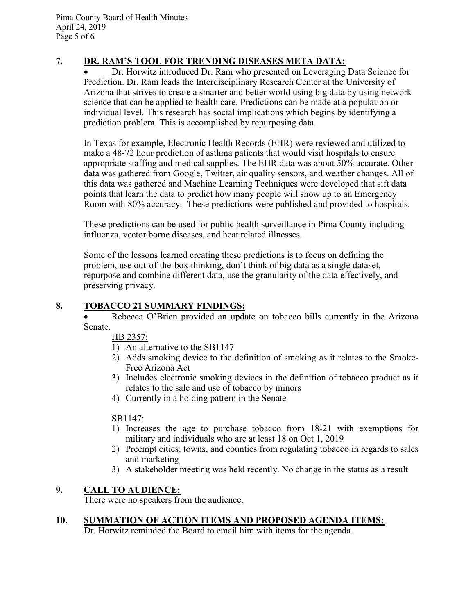# 7. DR. RAM'S TOOL FOR TRENDING DISEASES META DATA:

 Dr. Horwitz introduced Dr. Ram who presented on Leveraging Data Science for Prediction. Dr. Ram leads the Interdisciplinary Research Center at the University of Arizona that strives to create a smarter and better world using big data by using network science that can be applied to health care. Predictions can be made at a population or individual level. This research has social implications which begins by identifying a prediction problem. This is accomplished by repurposing data.

In Texas for example, Electronic Health Records (EHR) were reviewed and utilized to make a 48-72 hour prediction of asthma patients that would visit hospitals to ensure appropriate staffing and medical supplies. The EHR data was about 50% accurate. Other data was gathered from Google, Twitter, air quality sensors, and weather changes. All of this data was gathered and Machine Learning Techniques were developed that sift data points that learn the data to predict how many people will show up to an Emergency Room with 80% accuracy. These predictions were published and provided to hospitals.

These predictions can be used for public health surveillance in Pima County including influenza, vector borne diseases, and heat related illnesses.

Some of the lessons learned creating these predictions is to focus on defining the problem, use out-of-the-box thinking, don't think of big data as a single dataset, repurpose and combine different data, use the granularity of the data effectively, and preserving privacy.

## 8. TOBACCO 21 SUMMARY FINDINGS:

• Rebecca O'Brien provided an update on tobacco bills currently in the Arizona Senate.

HB 2357:

- 1) An alternative to the SB1147
- 2) Adds smoking device to the definition of smoking as it relates to the Smoke-Free Arizona Act
- 3) Includes electronic smoking devices in the definition of tobacco product as it relates to the sale and use of tobacco by minors
- 4) Currently in a holding pattern in the Senate

SB1147:

- 1) Increases the age to purchase tobacco from 18-21 with exemptions for military and individuals who are at least 18 on Oct 1, 2019
- 2) Preempt cities, towns, and counties from regulating tobacco in regards to sales and marketing
- 3) A stakeholder meeting was held recently. No change in the status as a result

# 9. CALL TO AUDIENCE:

There were no speakers from the audience.

# 10. SUMMATION OF ACTION ITEMS AND PROPOSED AGENDA ITEMS:

Dr. Horwitz reminded the Board to email him with items for the agenda.